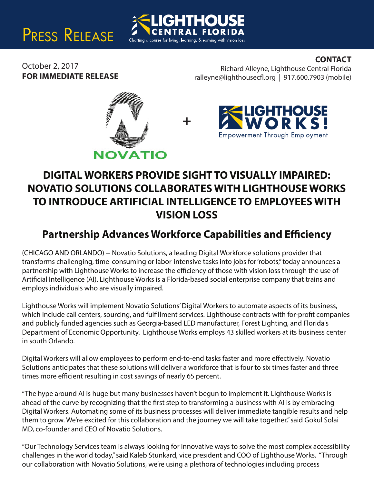# PRESS RELEASE

### **CONTACT**

October 2, 2017 **FOR IMMEDIATE RELEASE**

Richard Alleyne, Lighthouse Central Florida  $ralleyne@lighthousecfl.org | 917.600.7903 (mobile)$ 





## **DIGITAL WORKERS PROVIDE SIGHT TO VISUALLY IMPAIRED: NOVATIO SOLUTIONS COLLABORATES WITH LIGHTHOUSE WORKS TO INTRODUCE ARTIFICIAL INTELLIGENCE TO EMPLOYEES WITH VISION LOSS**

**+**

Charting a course for living, learning, & earning with vision loss

**HOL** 

### **Partnership Advances Workforce Capabilities and Efficiency**

(CHICAGO AND ORLANDO) -- Novatio Solutions, a leading Digital Workforce solutions provider that transforms challenging, time-consuming or labor-intensive tasks into jobs for 'robots," today announces a partnership with Lighthouse Works to increase the efficiency of those with vision loss through the use of Artificial Intelligence (AI). Lighthouse Works is a Florida-based social enterprise company that trains and employs individuals who are visually impaired.

Lighthouse Works will implement Novatio Solutions' Digital Workers to automate aspects of its business, which include call centers, sourcing, and fulfillment services. Lighthouse contracts with for-profit companies and publicly funded agencies such as Georgia-based LED manufacturer, Forest Lighting, and Florida's Department of Economic Opportunity. Lighthouse Works employs 43 skilled workers at its business center in south Orlando.

Digital Workers will allow employees to perform end-to-end tasks faster and more effectively. Novatio Solutions anticipates that these solutions will deliver a workforce that is four to six times faster and three times more efficient resulting in cost savings of nearly 65 percent.

"The hype around AI is huge but many businesses haven't begun to implement it. Lighthouse Works is ahead of the curve by recognizing that the first step to transforming a business with AI is by embracing Digital Workers. Automating some of its business processes will deliver immediate tangible results and help them to grow. We're excited for this collaboration and the journey we will take together," said Gokul Solai MD, co-founder and CEO of Novatio Solutions.

"Our Technology Services team is always looking for innovative ways to solve the most complex accessibility challenges in the world today," said Kaleb Stunkard, vice president and COO of Lighthouse Works. "Through our collaboration with Novatio Solutions, we're using a plethora of technologies including process